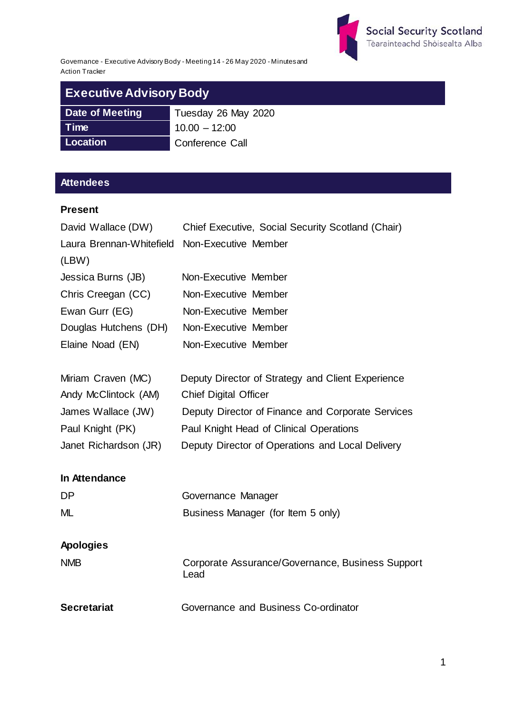

# **Executive Advisory Body**

| <b>Date of Meeting</b> |
|------------------------|
| Time                   |
| Location               |

**Date of Meeting** Tuesday 26 May 2020 **Time** 10.00 – 12:00 **Conference Call** 

## **Attendees**

#### **Present**

| David Wallace (DW)                            | Chief Executive, Social Security Scotland (Chair)        |
|-----------------------------------------------|----------------------------------------------------------|
| Laura Brennan-Whitefield Non-Executive Member |                                                          |
| (LBW)                                         |                                                          |
| Jessica Burns (JB)                            | Non-Executive Member                                     |
| Chris Creegan (CC)                            | Non-Executive Member                                     |
| Ewan Gurr (EG)                                | Non-Executive Member                                     |
| Douglas Hutchens (DH)                         | Non-Executive Member                                     |
| Elaine Noad (EN)                              | Non-Executive Member                                     |
| Miriam Craven (MC)                            | Deputy Director of Strategy and Client Experience        |
| Andy McClintock (AM)                          | <b>Chief Digital Officer</b>                             |
| James Wallace (JW)                            | Deputy Director of Finance and Corporate Services        |
| Paul Knight (PK)                              | Paul Knight Head of Clinical Operations                  |
| Janet Richardson (JR)                         | Deputy Director of Operations and Local Delivery         |
| In Attendance                                 |                                                          |
| DP                                            | Governance Manager                                       |
| ML                                            | Business Manager (for Item 5 only)                       |
| <b>Apologies</b>                              |                                                          |
| <b>NMB</b>                                    | Corporate Assurance/Governance, Business Support<br>Lead |
| <b>Secretariat</b>                            | Governance and Business Co-ordinator                     |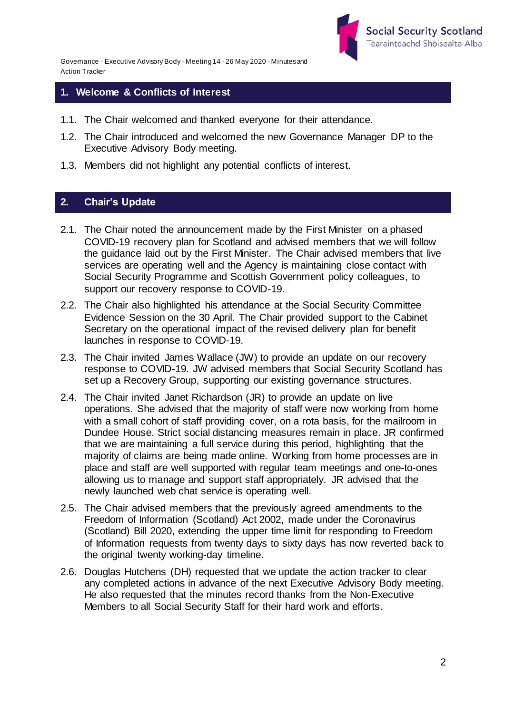

#### **1. Welcome & Conflicts of Interest**

- 1.1. The Chair welcomed and thanked everyone for their attendance.
- 1.2. The Chair introduced and welcomed the new Governance Manager DP to the Executive Advisory Body meeting.
- 1.3. Members did not highlight any potential conflicts of interest.

## **2. Chair's Update**

- 2.1. The Chair noted the announcement made by the First Minister on a phased COVID-19 recovery plan for Scotland and advised members that we will follow the guidance laid out by the First Minister. The Chair advised members that live services are operating well and the Agency is maintaining close contact with Social Security Programme and Scottish Government policy colleagues, to support our recovery response to COVID-19.
- 2.2. The Chair also highlighted his attendance at the Social Security Committee Evidence Session on the 30 April. The Chair provided support to the Cabinet Secretary on the operational impact of the revised delivery plan for benefit launches in response to COVID-19.
- 2.3. The Chair invited James Wallace (JW) to provide an update on our recovery response to COVID-19. JW advised members that Social Security Scotland has set up a Recovery Group, supporting our existing governance structures.
- 2.4. The Chair invited Janet Richardson (JR) to provide an update on live operations. She advised that the majority of staff were now working from home with a small cohort of staff providing cover, on a rota basis, for the mailroom in Dundee House. Strict social distancing measures remain in place. JR confirmed that we are maintaining a full service during this period, highlighting that the majority of claims are being made online. Working from home processes are in place and staff are well supported with regular team meetings and one-to-ones allowing us to manage and support staff appropriately. JR advised that the newly launched web chat service is operating well.
- 2.5. The Chair advised members that the previously agreed amendments to the Freedom of Information (Scotland) Act 2002, made under the Coronavirus (Scotland) Bill 2020, extending the upper time limit for responding to Freedom of Information requests from twenty days to sixty days has now reverted back to the original twenty working-day timeline.
- 2.6. Douglas Hutchens (DH) requested that we update the action tracker to clear any completed actions in advance of the next Executive Advisory Body meeting. He also requested that the minutes record thanks from the Non-Executive Members to all Social Security Staff for their hard work and efforts.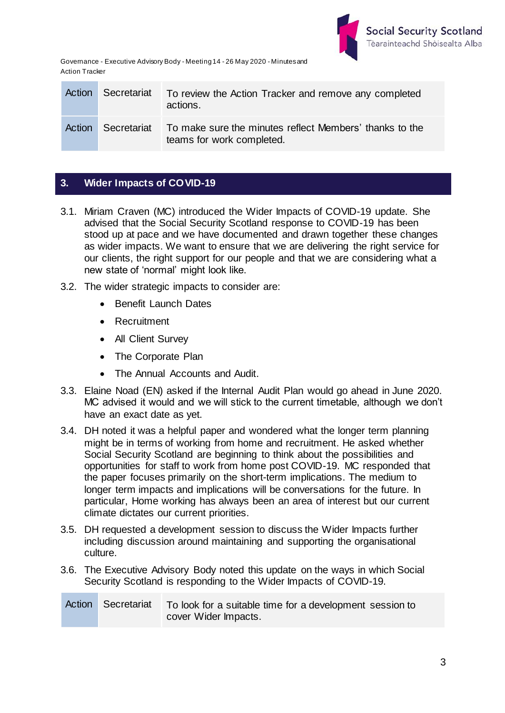

| Action        | Secretariat | To review the Action Tracker and remove any completed<br>actions.                    |
|---------------|-------------|--------------------------------------------------------------------------------------|
| <b>Action</b> | Secretariat | To make sure the minutes reflect Members' thanks to the<br>teams for work completed. |

#### **3. Wider Impacts of COVID-19**

- 3.1. Miriam Craven (MC) introduced the Wider Impacts of COVID-19 update. She advised that the Social Security Scotland response to COVID-19 has been stood up at pace and we have documented and drawn together these changes as wider impacts. We want to ensure that we are delivering the right service for our clients, the right support for our people and that we are considering what a new state of 'normal' might look like.
- 3.2. The wider strategic impacts to consider are:
	- Benefit Launch Dates
	- Recruitment
	- All Client Survey
	- The Corporate Plan
	- The Annual Accounts and Audit.
- 3.3. Elaine Noad (EN) asked if the Internal Audit Plan would go ahead in June 2020. MC advised it would and we will stick to the current timetable, although we don't have an exact date as yet.
- 3.4. DH noted it was a helpful paper and wondered what the longer term planning might be in terms of working from home and recruitment. He asked whether Social Security Scotland are beginning to think about the possibilities and opportunities for staff to work from home post COVID-19. MC responded that the paper focuses primarily on the short-term implications. The medium to longer term impacts and implications will be conversations for the future. In particular, Home working has always been an area of interest but our current climate dictates our current priorities.
- 3.5. DH requested a development session to discuss the Wider Impacts further including discussion around maintaining and supporting the organisational culture.
- 3.6. The Executive Advisory Body noted this update on the ways in which Social Security Scotland is responding to the Wider Impacts of COVID-19.

|  | Action Secretariat To look for a suitable time for a development session to |
|--|-----------------------------------------------------------------------------|
|  | cover Wider Impacts.                                                        |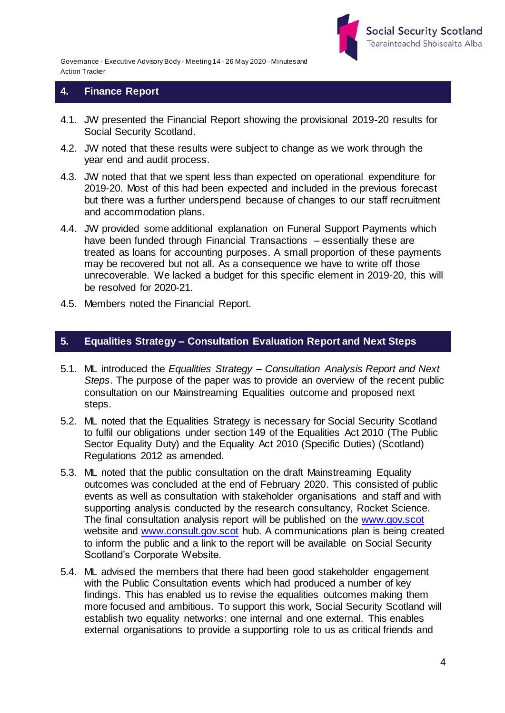



### **4. Finance Report**

- 4.1. JW presented the Financial Report showing the provisional 2019-20 results for Social Security Scotland.
- 4.2. JW noted that these results were subject to change as we work through the year end and audit process.
- 4.3. JW noted that that we spent less than expected on operational expenditure for 2019-20. Most of this had been expected and included in the previous forecast but there was a further underspend because of changes to our staff recruitment and accommodation plans.
- 4.4. JW provided some additional explanation on Funeral Support Payments which have been funded through Financial Transactions – essentially these are treated as loans for accounting purposes. A small proportion of these payments may be recovered but not all. As a consequence we have to write off those unrecoverable. We lacked a budget for this specific element in 2019-20, this will be resolved for 2020-21.
- 4.5. Members noted the Financial Report.

### **5. Equalities Strategy – Consultation Evaluation Report and Next Steps**

- 5.1. ML introduced the *Equalities Strategy – Consultation Analysis Report and Next Steps*. The purpose of the paper was to provide an overview of the recent public consultation on our Mainstreaming Equalities outcome and proposed next steps.
- 5.2. ML noted that the Equalities Strategy is necessary for Social Security Scotland to fulfil our obligations under section 149 of the Equalities Act 2010 (The Public Sector Equality Duty) and the Equality Act 2010 (Specific Duties) (Scotland) Regulations 2012 as amended.
- 5.3. ML noted that the public consultation on the draft Mainstreaming Equality outcomes was concluded at the end of February 2020. This consisted of public events as well as consultation with stakeholder organisations and staff and with supporting analysis conducted by the research consultancy, Rocket Science. The final consultation analysis report will be published on the [www.gov.scot](http://www.gov.scot/)  website and [www.consult.gov.scot](http://www.consult.gov.scot/) hub. A communications plan is being created to inform the public and a link to the report will be available on Social Security Scotland's Corporate Website.
- 5.4. ML advised the members that there had been good stakeholder engagement with the Public Consultation events which had produced a number of key findings. This has enabled us to revise the equalities outcomes making them more focused and ambitious. To support this work, Social Security Scotland will establish two equality networks: one internal and one external. This enables external organisations to provide a supporting role to us as critical friends and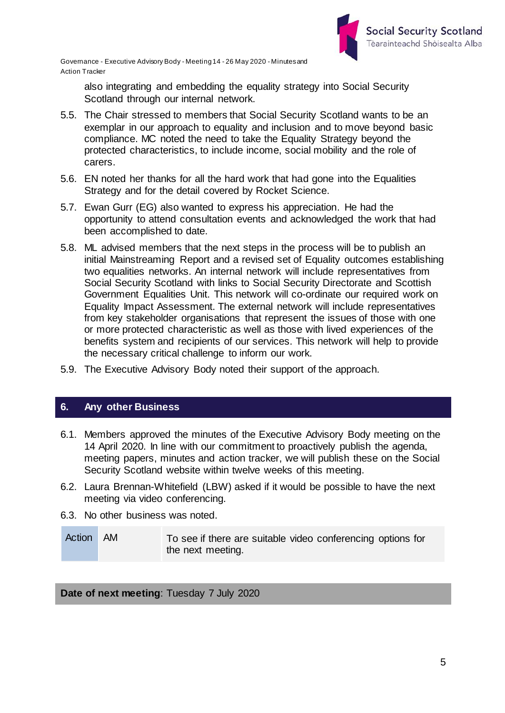

also integrating and embedding the equality strategy into Social Security Scotland through our internal network.

- 5.5. The Chair stressed to members that Social Security Scotland wants to be an exemplar in our approach to equality and inclusion and to move beyond basic compliance. MC noted the need to take the Equality Strategy beyond the protected characteristics, to include income, social mobility and the role of carers.
- 5.6. EN noted her thanks for all the hard work that had gone into the Equalities Strategy and for the detail covered by Rocket Science.
- 5.7. Ewan Gurr (EG) also wanted to express his appreciation. He had the opportunity to attend consultation events and acknowledged the work that had been accomplished to date.
- 5.8. ML advised members that the next steps in the process will be to publish an initial Mainstreaming Report and a revised set of Equality outcomes establishing two equalities networks. An internal network will include representatives from Social Security Scotland with links to Social Security Directorate and Scottish Government Equalities Unit. This network will co-ordinate our required work on Equality Impact Assessment. The external network will include representatives from key stakeholder organisations that represent the issues of those with one or more protected characteristic as well as those with lived experiences of the benefits system and recipients of our services. This network will help to provide the necessary critical challenge to inform our work.
- 5.9. The Executive Advisory Body noted their support of the approach.

#### **6. Any other Business**

- 6.1. Members approved the minutes of the Executive Advisory Body meeting on the 14 April 2020. In line with our commitment to proactively publish the agenda, meeting papers, minutes and action tracker, we will publish these on the Social Security Scotland website within twelve weeks of this meeting.
- 6.2. Laura Brennan-Whitefield (LBW) asked if it would be possible to have the next meeting via video conferencing.
- 6.3. No other business was noted.

Action AM To see if there are suitable video conferencing options for the next meeting.

**Date of next meeting**: Tuesday 7 July 2020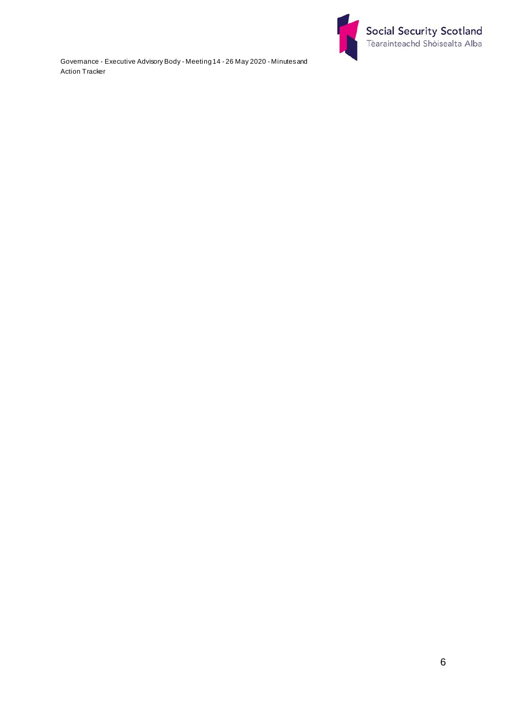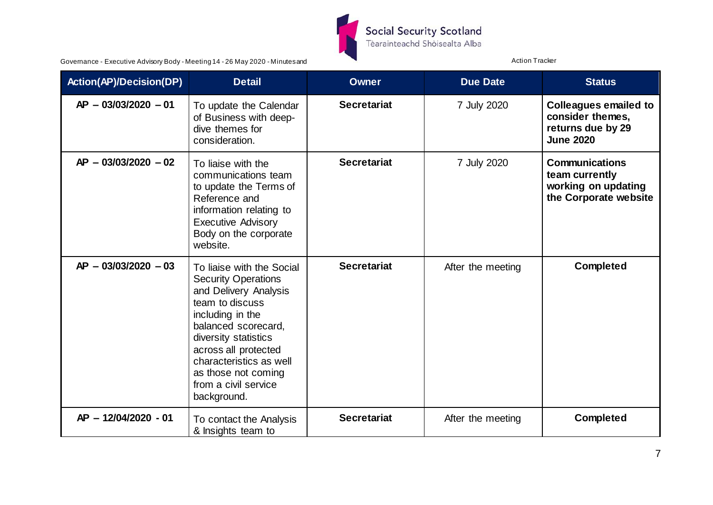

| <b>Action(AP)/Decision(DP)</b> | <b>Detail</b>                                                                                                                                                                                                                                                                           | Owner              | <b>Due Date</b>   | <b>Status</b>                                                                             |
|--------------------------------|-----------------------------------------------------------------------------------------------------------------------------------------------------------------------------------------------------------------------------------------------------------------------------------------|--------------------|-------------------|-------------------------------------------------------------------------------------------|
| $AP - 03/03/2020 - 01$         | To update the Calendar<br>of Business with deep-<br>dive themes for<br>consideration.                                                                                                                                                                                                   | <b>Secretariat</b> | 7 July 2020       | <b>Colleagues emailed to</b><br>consider themes,<br>returns due by 29<br><b>June 2020</b> |
| $AP - 03/03/2020 - 02$         | To liaise with the<br>communications team<br>to update the Terms of<br>Reference and<br>information relating to<br><b>Executive Advisory</b><br>Body on the corporate<br>website.                                                                                                       | <b>Secretariat</b> | 7 July 2020       | <b>Communications</b><br>team currently<br>working on updating<br>the Corporate website   |
| $AP - 03/03/2020 - 03$         | To liaise with the Social<br><b>Security Operations</b><br>and Delivery Analysis<br>team to discuss<br>including in the<br>balanced scorecard,<br>diversity statistics<br>across all protected<br>characteristics as well<br>as those not coming<br>from a civil service<br>background. | <b>Secretariat</b> | After the meeting | <b>Completed</b>                                                                          |
| AP - 12/04/2020 - 01           | To contact the Analysis<br>& Insights team to                                                                                                                                                                                                                                           | <b>Secretariat</b> | After the meeting | <b>Completed</b>                                                                          |